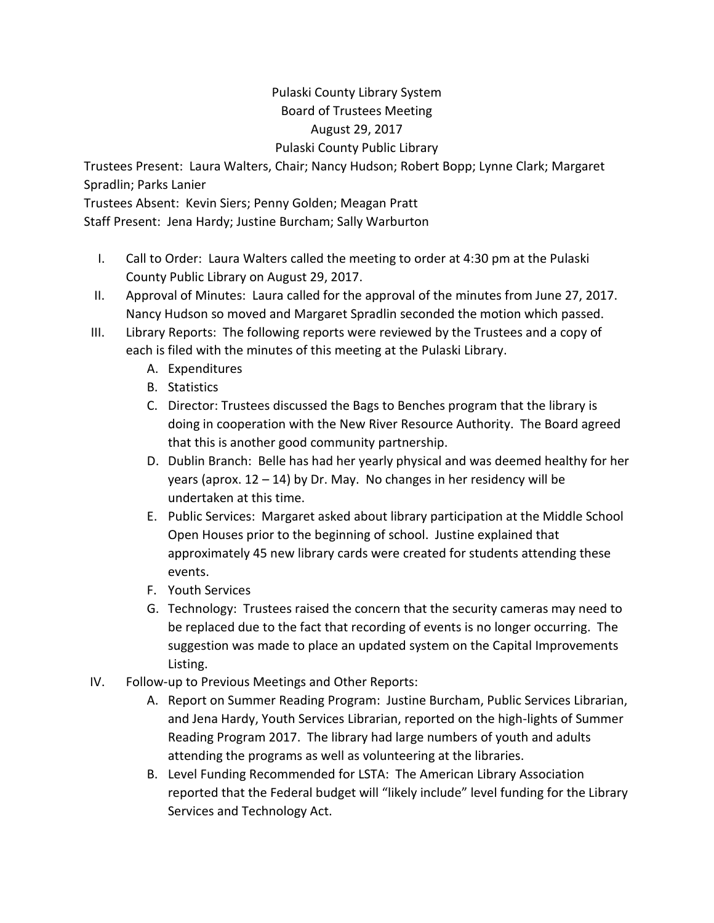## Pulaski County Library System Board of Trustees Meeting August 29, 2017 Pulaski County Public Library

Trustees Present: Laura Walters, Chair; Nancy Hudson; Robert Bopp; Lynne Clark; Margaret Spradlin; Parks Lanier

Trustees Absent: Kevin Siers; Penny Golden; Meagan Pratt

Staff Present: Jena Hardy; Justine Burcham; Sally Warburton

- I. Call to Order: Laura Walters called the meeting to order at 4:30 pm at the Pulaski County Public Library on August 29, 2017.
- II. Approval of Minutes: Laura called for the approval of the minutes from June 27, 2017. Nancy Hudson so moved and Margaret Spradlin seconded the motion which passed.
- III. Library Reports: The following reports were reviewed by the Trustees and a copy of each is filed with the minutes of this meeting at the Pulaski Library.
	- A. Expenditures
	- B. Statistics
	- C. Director: Trustees discussed the Bags to Benches program that the library is doing in cooperation with the New River Resource Authority. The Board agreed that this is another good community partnership.
	- D. Dublin Branch: Belle has had her yearly physical and was deemed healthy for her years (aprox. 12 – 14) by Dr. May. No changes in her residency will be undertaken at this time.
	- E. Public Services: Margaret asked about library participation at the Middle School Open Houses prior to the beginning of school. Justine explained that approximately 45 new library cards were created for students attending these events.
	- F. Youth Services
	- G. Technology: Trustees raised the concern that the security cameras may need to be replaced due to the fact that recording of events is no longer occurring. The suggestion was made to place an updated system on the Capital Improvements Listing.
- IV. Follow-up to Previous Meetings and Other Reports:
	- A. Report on Summer Reading Program: Justine Burcham, Public Services Librarian, and Jena Hardy, Youth Services Librarian, reported on the high-lights of Summer Reading Program 2017. The library had large numbers of youth and adults attending the programs as well as volunteering at the libraries.
	- B. Level Funding Recommended for LSTA: The American Library Association reported that the Federal budget will "likely include" level funding for the Library Services and Technology Act.